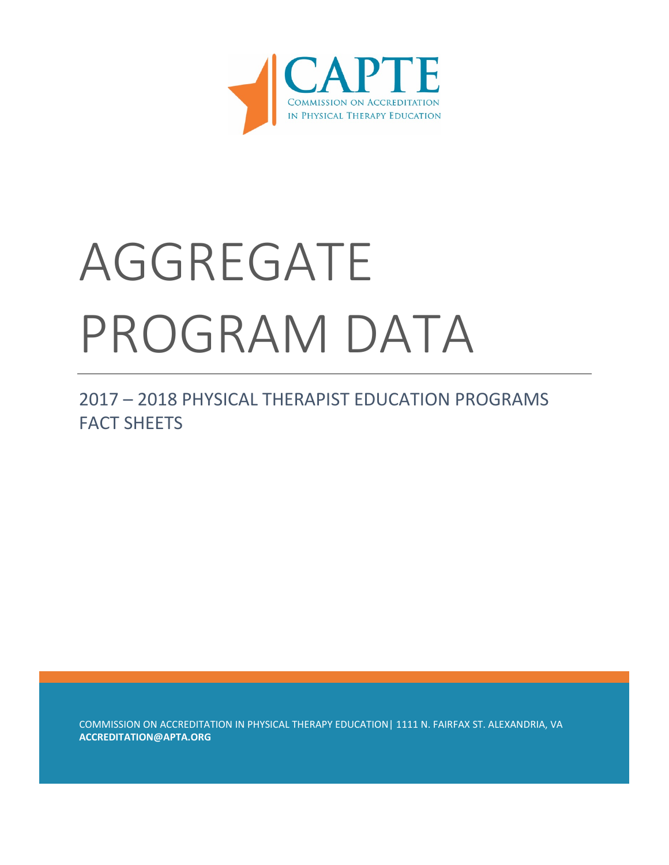

# AGGREGATE PROGRAM DATA

2017 – 2018 PHYSICAL THERAPIST EDUCATION PROGRAMS FACT SHEFTS

COMMISSION ON ACCREDITATION IN PHYSICAL THERAPY EDUCATION| 1111 N. FAIRFAX ST. ALEXANDRIA, VA **ACCREDITATION@APTA.ORG**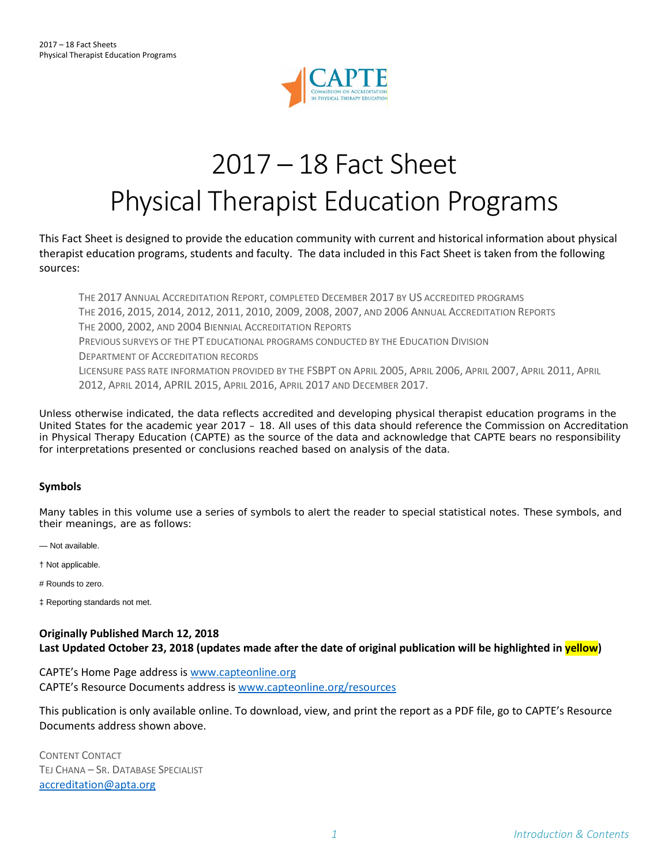

# 2017 – 18 Fact Sheet Physical Therapist Education Programs

This Fact Sheet is designed to provide the education community with current and historical information about physical therapist education programs, students and faculty. The data included in this Fact Sheet is taken from the following sources:

THE 2017 ANNUAL ACCREDITATION REPORT, COMPLETED DECEMBER 2017 BY US ACCREDITED PROGRAMS THE 2016, 2015, 2014, 2012, 2011, 2010, 2009, 2008, 2007, AND 2006 ANNUAL ACCREDITATION REPORTS THE 2000, 2002, AND 2004 BIENNIAL ACCREDITATION REPORTS PREVIOUS SURVEYS OF THE PT EDUCATIONAL PROGRAMS CONDUCTED BY THE EDUCATION DIVISION DEPARTMENT OF ACCREDITATION RECORDS LICENSURE PASS RATE INFORMATION PROVIDED BY THE FSBPT ON APRIL 2005, APRIL 2006, APRIL 2007, APRIL 2011, APRIL 2012, APRIL 2014, APRIL 2015, APRIL 2016, APRIL 2017 AND DECEMBER 2017.

Unless otherwise indicated, the data reflects accredited and developing physical therapist education programs in the United States for the academic year 2017 – 18. All uses of this data should reference the Commission on Accreditation in Physical Therapy Education (CAPTE) as the source of the data and acknowledge that CAPTE bears no responsibility for interpretations presented or conclusions reached based on analysis of the data.

#### **Symbols**

Many tables in this volume use a series of symbols to alert the reader to special statistical notes. These symbols, and their meanings, are as follows:

— Not available.

† Not applicable.

# Rounds to zero.

‡ Reporting standards not met.

#### **Originally Published March 12, 2018 Last Updated October 23, 2018 (updates made after the date of original publication will be highlighted in yellow)**

CAPTE's Home Page address is [www.capteonline.org](http://www.capteonline.org/) CAPTE's Resource Documents address is [www.capteonline.org/resources](http://www.capteonline.org/resources)

This publication is only available online. To download, view, and print the report as a PDF file, go to CAPTE's Resource Documents address shown above.

CONTENT CONTACT TEJ CHANA – SR. DATABASE SPECIALIST [accreditation@apta.org](mailto:accreditation@apta.org)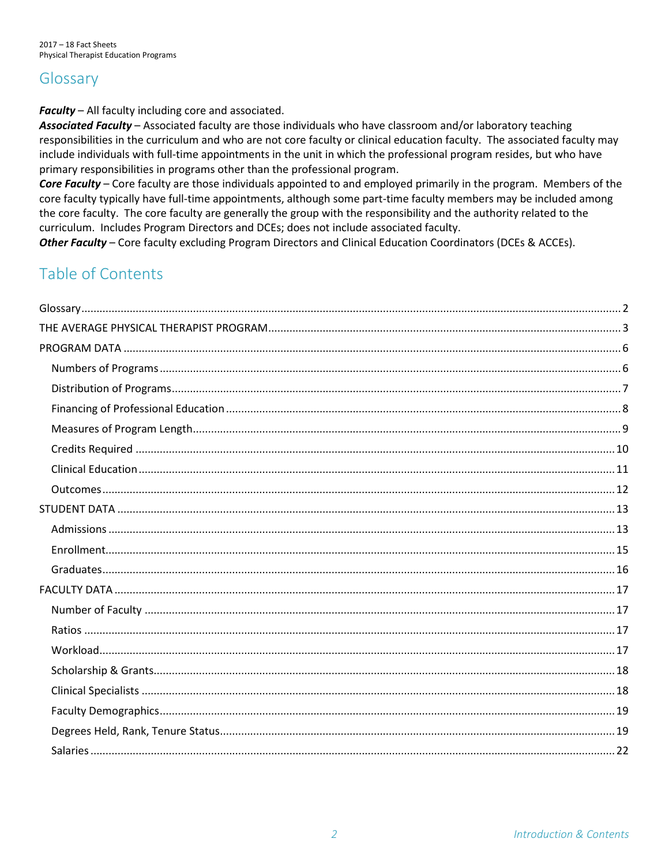## <span id="page-2-0"></span>Glossary

Faculty - All faculty including core and associated.

Associated Faculty - Associated faculty are those individuals who have classroom and/or laboratory teaching responsibilities in the curriculum and who are not core faculty or clinical education faculty. The associated faculty may include individuals with full-time appointments in the unit in which the professional program resides, but who have primary responsibilities in programs other than the professional program.

Core Faculty – Core faculty are those individuals appointed to and employed primarily in the program. Members of the core faculty typically have full-time appointments, although some part-time faculty members may be included among the core faculty. The core faculty are generally the group with the responsibility and the authority related to the curriculum. Includes Program Directors and DCEs; does not include associated faculty.

Other Faculty - Core faculty excluding Program Directors and Clinical Education Coordinators (DCEs & ACCEs).

## Table of Contents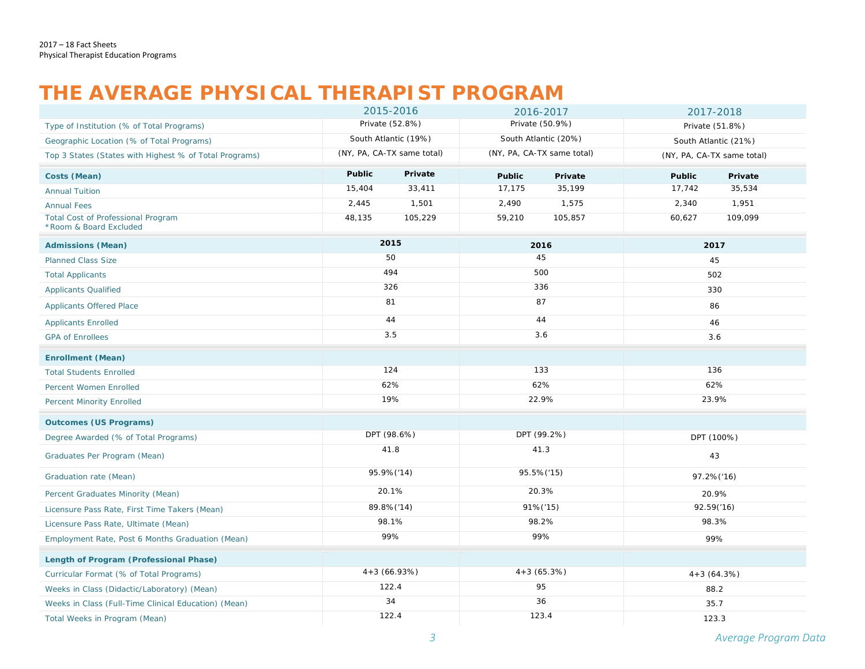## **THE AVERAGE PHYSICAL THERAPIST PROGRAM**

<span id="page-3-0"></span>

|                                                                     | 2015-2016     |                            | 2016-2017                  |                      | 2017-2018     |                            |  |
|---------------------------------------------------------------------|---------------|----------------------------|----------------------------|----------------------|---------------|----------------------------|--|
| Type of Institution (% of Total Programs)                           |               | Private (52.8%)            | Private (50.9%)            |                      |               | Private (51.8%)            |  |
| Geographic Location (% of Total Programs)                           |               | South Atlantic (19%)       |                            | South Atlantic (20%) |               | South Atlantic (21%)       |  |
| Top 3 States (States with Highest % of Total Programs)              |               | (NY, PA, CA-TX same total) | (NY, PA, CA-TX same total) |                      |               | (NY, PA, CA-TX same total) |  |
| Costs (Mean)                                                        | <b>Public</b> | Private                    | <b>Public</b>              | Private              | <b>Public</b> | Private                    |  |
| <b>Annual Tuition</b>                                               | 15,404        | 33,411                     | 17,175                     | 35,199               | 17,742        | 35,534                     |  |
| <b>Annual Fees</b>                                                  | 2,445         | 1,501                      | 2,490                      | 1,575                | 2,340         | 1,951                      |  |
| <b>Total Cost of Professional Program</b><br>*Room & Board Excluded | 48,135        | 105,229                    | 59,210                     | 105,857              | 60,627        | 109,099                    |  |
| <b>Admissions (Mean)</b>                                            |               | 2015                       |                            | 2016                 |               | 2017                       |  |
| <b>Planned Class Size</b>                                           |               | 50                         |                            | 45                   |               | 45                         |  |
| <b>Total Applicants</b>                                             |               | 494                        |                            | 500                  |               | 502                        |  |
| <b>Applicants Qualified</b>                                         |               | 326                        |                            | 336                  |               | 330                        |  |
| <b>Applicants Offered Place</b>                                     |               | 81                         |                            | 87                   |               | 86                         |  |
| <b>Applicants Enrolled</b>                                          |               | 44                         | 44                         |                      |               | 46                         |  |
| <b>GPA of Enrollees</b>                                             | 3.5           |                            | 3.6                        |                      | 3.6           |                            |  |
| <b>Enrollment (Mean)</b>                                            |               |                            |                            |                      |               |                            |  |
| <b>Total Students Enrolled</b>                                      |               | 124                        | 133                        |                      | 136           |                            |  |
| Percent Women Enrolled                                              |               | 62%                        | 62%                        |                      |               | 62%                        |  |
| <b>Percent Minority Enrolled</b>                                    |               | 19%                        | 22.9%                      |                      | 23.9%         |                            |  |
| <b>Outcomes (US Programs)</b>                                       |               |                            |                            |                      |               |                            |  |
| Degree Awarded (% of Total Programs)                                |               | DPT (98.6%)                |                            | DPT (99.2%)          |               | DPT (100%)                 |  |
| Graduates Per Program (Mean)                                        |               | 41.8                       |                            | 41.3                 |               | 43                         |  |
| Graduation rate (Mean)                                              |               | 95.9%('14)                 |                            | 95.5%('15)           |               | 97.2%('16)                 |  |
| Percent Graduates Minority (Mean)                                   |               | 20.1%                      |                            | 20.3%                |               | 20.9%                      |  |
| Licensure Pass Rate, First Time Takers (Mean)                       |               | 89.8%('14)                 |                            | 91%('15)             |               | 92.59('16)                 |  |
| Licensure Pass Rate, Ultimate (Mean)                                |               | 98.1%                      |                            | 98.2%                |               | 98.3%                      |  |
| Employment Rate, Post 6 Months Graduation (Mean)                    |               | 99%                        |                            | 99%                  |               | 99%                        |  |
| <b>Length of Program (Professional Phase)</b>                       |               |                            |                            |                      |               |                            |  |
| Curricular Format (% of Total Programs)                             |               | $4+3(66.93%)$              |                            | $4+3(65.3%)$         |               | $4+3(64.3%)$               |  |
| Weeks in Class (Didactic/Laboratory) (Mean)                         |               | 122.4                      |                            | 95                   |               | 88.2                       |  |
| Weeks in Class (Full-Time Clinical Education) (Mean)                |               | 34                         |                            | 36                   |               | 35.7                       |  |
| Total Weeks in Program (Mean)                                       |               | 122.4                      | 123.4                      |                      | 123.3         |                            |  |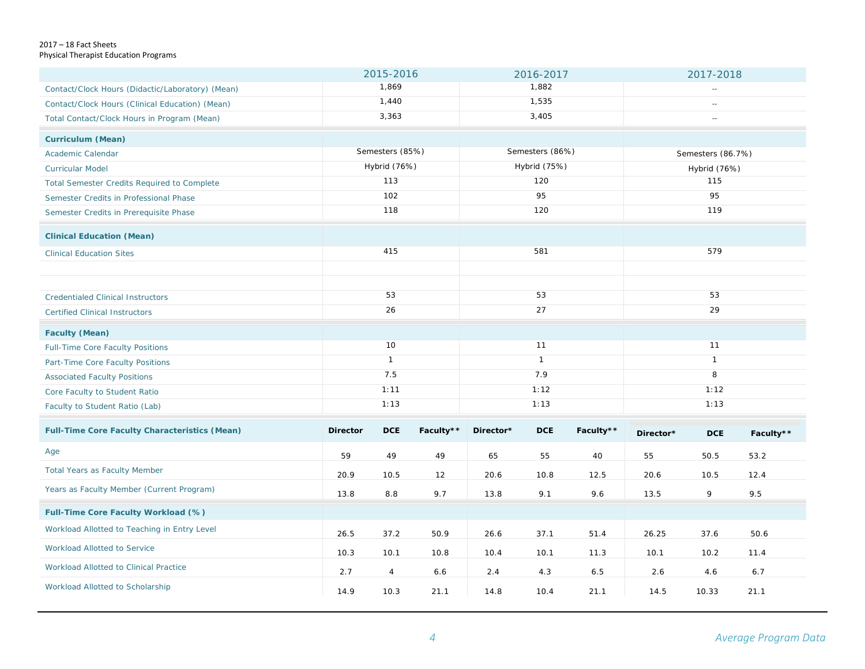#### 2017 – 18 Fact Sheets Physical Therapist Education Programs

|                                                      |                 | 2015-2016       |           | 2016-2017    |                 |                          | 2017-2018    |                   |           |  |
|------------------------------------------------------|-----------------|-----------------|-----------|--------------|-----------------|--------------------------|--------------|-------------------|-----------|--|
| Contact/Clock Hours (Didactic/Laboratory) (Mean)     |                 | 1,869           |           | 1,882        |                 |                          |              |                   |           |  |
| Contact/Clock Hours (Clinical Education) (Mean)      |                 | 1,440           |           | 1,535        |                 | $\overline{\phantom{a}}$ |              |                   |           |  |
| Total Contact/Clock Hours in Program (Mean)          |                 | 3,363           |           | 3,405        |                 | $\sim$                   |              |                   |           |  |
| <b>Curriculum (Mean)</b>                             |                 |                 |           |              |                 |                          |              |                   |           |  |
| Academic Calendar                                    |                 | Semesters (85%) |           |              | Semesters (86%) |                          |              | Semesters (86.7%) |           |  |
| <b>Curricular Model</b>                              |                 | Hybrid (76%)    |           |              | Hybrid (75%)    |                          |              | Hybrid (76%)      |           |  |
| <b>Total Semester Credits Required to Complete</b>   |                 | 113             |           |              | 120             |                          |              | 115               |           |  |
| Semester Credits in Professional Phase               |                 | 102             |           |              | 95              |                          |              | 95                |           |  |
| Semester Credits in Prerequisite Phase               |                 | 118             |           |              | 120             |                          |              | 119               |           |  |
| <b>Clinical Education (Mean)</b>                     |                 |                 |           |              |                 |                          |              |                   |           |  |
| <b>Clinical Education Sites</b>                      |                 | 415             |           |              | 581             |                          |              | 579               |           |  |
|                                                      |                 |                 |           |              |                 |                          |              |                   |           |  |
|                                                      |                 | 53              |           |              | 53              |                          |              | 53                |           |  |
| <b>Credentialed Clinical Instructors</b>             | 26              |                 | 27        |              |                 | 29                       |              |                   |           |  |
| <b>Certified Clinical Instructors</b>                |                 |                 |           |              |                 |                          |              |                   |           |  |
| <b>Faculty (Mean)</b>                                |                 |                 |           |              |                 |                          |              |                   |           |  |
| Full-Time Core Faculty Positions                     |                 | 10              |           |              | 11              |                          |              | 11                |           |  |
| Part-Time Core Faculty Positions                     |                 | $\mathbf{1}$    |           | $\mathbf{1}$ |                 |                          | $\mathbf{1}$ |                   |           |  |
| <b>Associated Faculty Positions</b>                  |                 | 7.5             |           | 7.9          |                 |                          | 8            |                   |           |  |
| Core Faculty to Student Ratio                        |                 | 1:11            |           | 1:12         |                 |                          | 1:12         |                   |           |  |
| Faculty to Student Ratio (Lab)                       |                 | 1:13            |           | 1:13         |                 |                          | 1:13         |                   |           |  |
| <b>Full-Time Core Faculty Characteristics (Mean)</b> | <b>Director</b> | <b>DCE</b>      | Faculty** | Director*    | <b>DCE</b>      | Faculty**                | Director*    | <b>DCE</b>        | Faculty** |  |
| Age                                                  | 59              | 49              | 49        | 65           | 55              | 40                       | 55           | 50.5              | 53.2      |  |
| <b>Total Years as Faculty Member</b>                 | 20.9            | 10.5            | 12        | 20.6         | 10.8            | 12.5                     | 20.6         | 10.5              | 12.4      |  |
| Years as Faculty Member (Current Program)            | 13.8            | 8.8             | 9.7       | 13.8         | 9.1             | 9.6                      | 13.5         | 9                 | 9.5       |  |
| Full-Time Core Faculty Workload (%)                  |                 |                 |           |              |                 |                          |              |                   |           |  |
| Workload Allotted to Teaching in Entry Level         | 26.5            | 37.2            | 50.9      | 26.6         | 37.1            | 51.4                     | 26.25        | 37.6              | 50.6      |  |
| Workload Allotted to Service                         | 10.3            | 10.1            | 10.8      | 10.4         | 10.1            | 11.3                     | 10.1         | 10.2              | 11.4      |  |
| Workload Allotted to Clinical Practice               | 2.7             | $\overline{4}$  | 6.6       | 2.4          | 4.3             | 6.5                      | 2.6          | 4.6               | 6.7       |  |
| Workload Allotted to Scholarship                     | 14.9            | 10.3            | 21.1      | 14.8         | 10.4            | 21.1                     | 14.5         | 10.33             | 21.1      |  |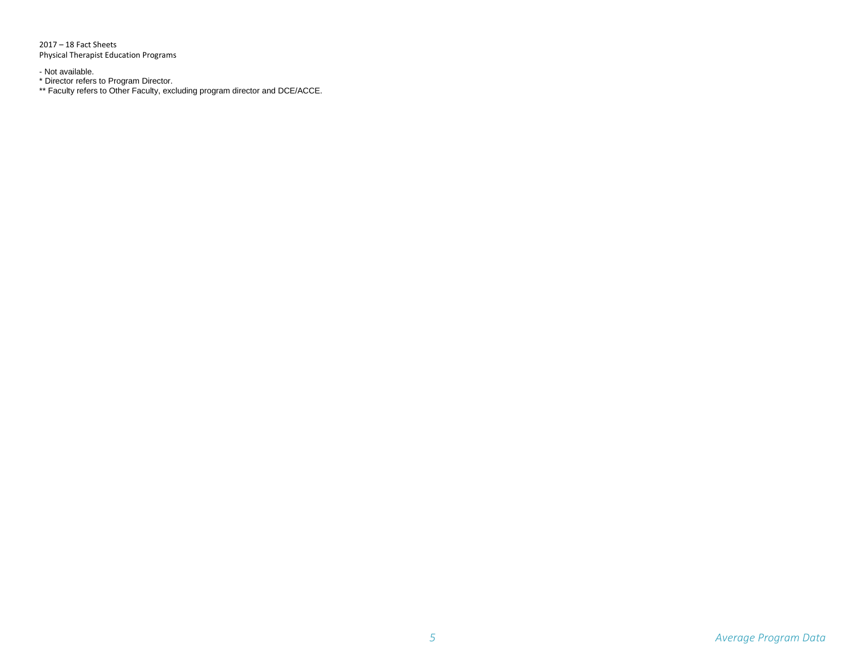2017 – 18 Fact Sheets Physical Therapist Education Programs

- Not available.

\* Director refers to Program Director.

\*\* Faculty refers to Other Faculty, excluding program director and DCE/ACCE.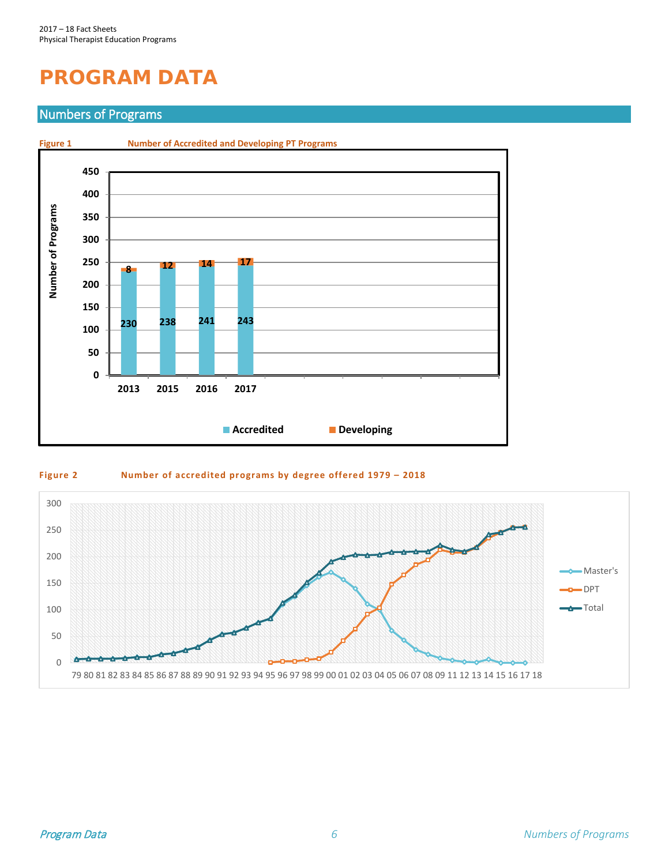# <span id="page-6-0"></span>**PROGRAM DATA**

#### <span id="page-6-1"></span>Numbers of Programs



#### **Figure 2 Number of accredited programs by degree offered 1979 – 2018**

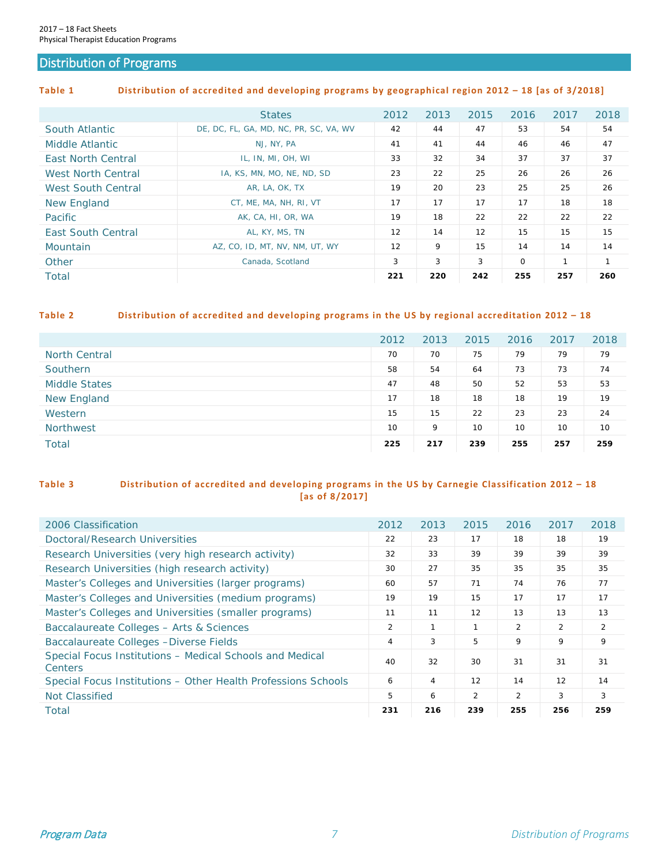#### <span id="page-7-0"></span>Distribution of Programs

#### **Table 1 Distribution of accredited and developing programs by geographical region 2012 – 18 [as of 3/2018]**

|                           | <b>States</b>                          | 2012 | 2013 | 2015 | 2016        | 2017         | 2018         |
|---------------------------|----------------------------------------|------|------|------|-------------|--------------|--------------|
| South Atlantic            | DE, DC, FL, GA, MD, NC, PR, SC, VA, WV | 42   | 44   | 47   | 53          | 54           | 54           |
| Middle Atlantic           | NJ, NY, PA                             | 41   | 41   | 44   | 46          | 46           | 47           |
| <b>East North Central</b> | IL, IN, MI, OH, WI                     | 33   | 32   | 34   | 37          | 37           | 37           |
| <b>West North Central</b> | IA, KS, MN, MO, NE, ND, SD             | 23   | 22   | 25   | 26          | 26           | 26           |
| <b>West South Central</b> | AR, LA, OK, TX                         | 19   | 20   | 23   | 25          | 25           | 26           |
| New England               | CT, ME, MA, NH, RI, VT                 | 17   | 17   | 17   | 17          | 18           | 18           |
| Pacific                   | AK, CA, HI, OR, WA                     | 19   | 18   | 22   | 22          | 22           | 22           |
| <b>East South Central</b> | AL, KY, MS, TN                         | 12   | 14   | 12   | 15          | 15           | 15           |
| Mountain                  | AZ, CO, ID, MT, NV, NM, UT, WY         | 12   | 9    | 15   | 14          | 14           | 14           |
| Other                     | Canada, Scotland                       | 3    | 3    | 3    | $\mathbf 0$ | $\mathbf{1}$ | $\mathbf{1}$ |
| Total                     |                                        | 221  | 220  | 242  | 255         | 257          | 260          |

#### **Table 2 Distribution of accredited and developing programs in the US by regional accreditation 2012 – 18**

|                      | 2012 | 2013 | 2015 | 2016 | 2017 | 2018 |
|----------------------|------|------|------|------|------|------|
| <b>North Central</b> | 70   | 70   | 75   | 79   | 79   | 79   |
| Southern             | 58   | 54   | 64   | 73   | 73   | 74   |
| <b>Middle States</b> | 47   | 48   | 50   | 52   | 53   | 53   |
| <b>New England</b>   | 17   | 18   | 18   | 18   | 19   | 19   |
| Western              | 15   | 15   | 22   | 23   | 23   | 24   |
| <b>Northwest</b>     | 10   | 9    | 10   | 10   | 10   | 10   |
| <b>Total</b>         | 225  | 217  | 239  | 255  | 257  | 259  |

#### **Table 3 Distribution of accredited and developing programs in the US by Carnegie Classification 2012 – 18 [as of 8/2017]**

| 2006 Classification                                                        | 2012 | 2013 | 2015           | 2016 | 2017           | 2018           |
|----------------------------------------------------------------------------|------|------|----------------|------|----------------|----------------|
| Doctoral/Research Universities                                             | 22   | 23   | 17             | 18   | 18             | 19             |
| Research Universities (very high research activity)                        | 32   | 33   | 39             | 39   | 39             | 39             |
| Research Universities (high research activity)                             | 30   | 27   | 35             | 35   | 35             | 35             |
| Master's Colleges and Universities (larger programs)                       | 60   | 57   | 71             | 74   | 76             | 77             |
| Master's Colleges and Universities (medium programs)                       | 19   | 19   | 15             | 17   | 17             | 17             |
| Master's Colleges and Universities (smaller programs)                      | 11   | 11   | 12             | 13   | 13             | 13             |
| Baccalaureate Colleges - Arts & Sciences                                   | 2    | 1    | $\mathbf{1}$   | 2    | $\overline{2}$ | $\overline{2}$ |
| Baccalaureate Colleges - Diverse Fields                                    | 4    | 3    | 5              | 9    | 9              | 9              |
| Special Focus Institutions - Medical Schools and Medical<br><b>Centers</b> | 40   | 32   | 30             | 31   | 31             | 31             |
| Special Focus Institutions – Other Health Professions Schools              | 6    | 4    | 12             | 14   | 12             | 14             |
| Not Classified                                                             | 5    | 6    | $\overline{2}$ | 2    | 3              | 3              |
| Total                                                                      | 231  | 216  | 239            | 255  | 256            | 259            |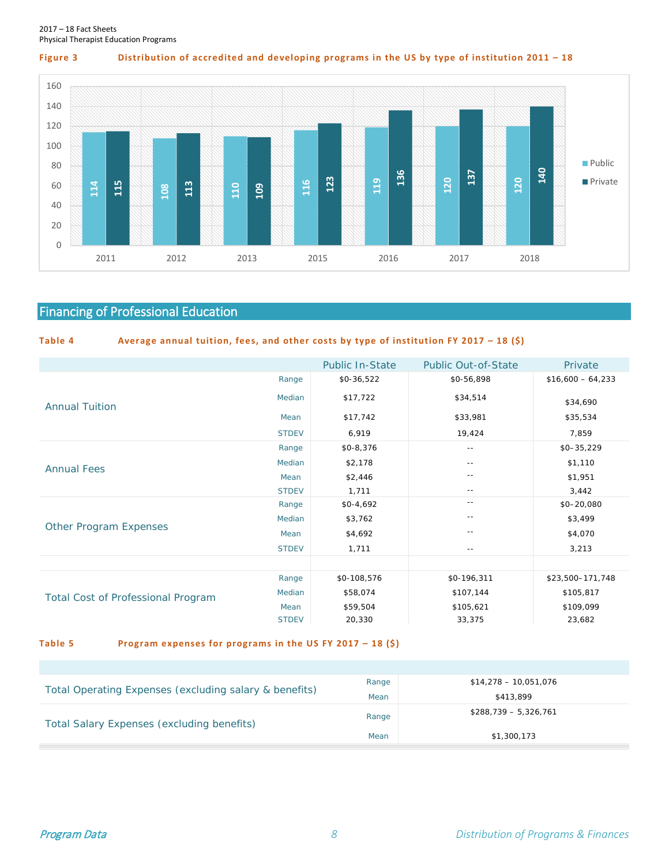

**Figure 3 Distribution of accredited and developing programs in the US by type of institution 2011 – 18**



## <span id="page-8-0"></span>Financing of Professional Education

| Table 4 | Average annual tuition, fees, and other costs by type of institution FY 2017 - 18 (\$) |  |  |  |  |  |
|---------|----------------------------------------------------------------------------------------|--|--|--|--|--|
|         |                                                                                        |  |  |  |  |  |

|                                           |              | <b>Public In-State</b> | <b>Public Out-of-State</b> | Private            |
|-------------------------------------------|--------------|------------------------|----------------------------|--------------------|
|                                           | Range        | \$0-36,522             | \$0-56,898                 | $$16,600 - 64,233$ |
| <b>Annual Tuition</b>                     | Median       | \$17,722               | \$34,514                   | \$34,690           |
|                                           | Mean         | \$17,742               | \$33,981                   | \$35,534           |
|                                           | <b>STDEV</b> | 6,919                  | 19,424                     | 7,859              |
|                                           | Range        | $$0 - 8, 376$          | $\sim$ $-$                 | $$0 - 35,229$      |
| <b>Annual Fees</b>                        | Median       | \$2,178                | $- -$                      | \$1,110            |
|                                           | Mean         | \$2,446                | $ -$                       | \$1,951            |
|                                           | <b>STDEV</b> | 1,711                  | $ -$                       | 3,442              |
|                                           | Range        | $$0-4,692$             | $- -$                      | $$0 - 20,080$      |
|                                           | Median       | \$3,762                | $-$                        | \$3,499            |
| <b>Other Program Expenses</b>             | Mean         | \$4,692                | $-$                        | \$4,070            |
|                                           | <b>STDEV</b> | 1,711                  | $\sim$ $-$                 | 3,213              |
|                                           |              |                        |                            |                    |
|                                           | Range        | \$0-108,576            | \$0-196,311                | \$23,500-171,748   |
| <b>Total Cost of Professional Program</b> | Median       | \$58,074               | \$107,144                  | \$105,817          |
|                                           | Mean         | \$59,504               | \$105,621                  | \$109,099          |
|                                           | <b>STDEV</b> | 20,330                 | 33,375                     | 23,682             |

#### **Table 5 Program expenses for programs in the US FY 2017 – 18 (\$)**

|                                                        | Range | $$14.278 - 10.051.076$ |
|--------------------------------------------------------|-------|------------------------|
| Total Operating Expenses (excluding salary & benefits) | Mean  | \$413,899              |
| Total Salary Expenses (excluding benefits)             | Range | $$288.739 - 5.326.761$ |
|                                                        | Mean  | \$1,300,173            |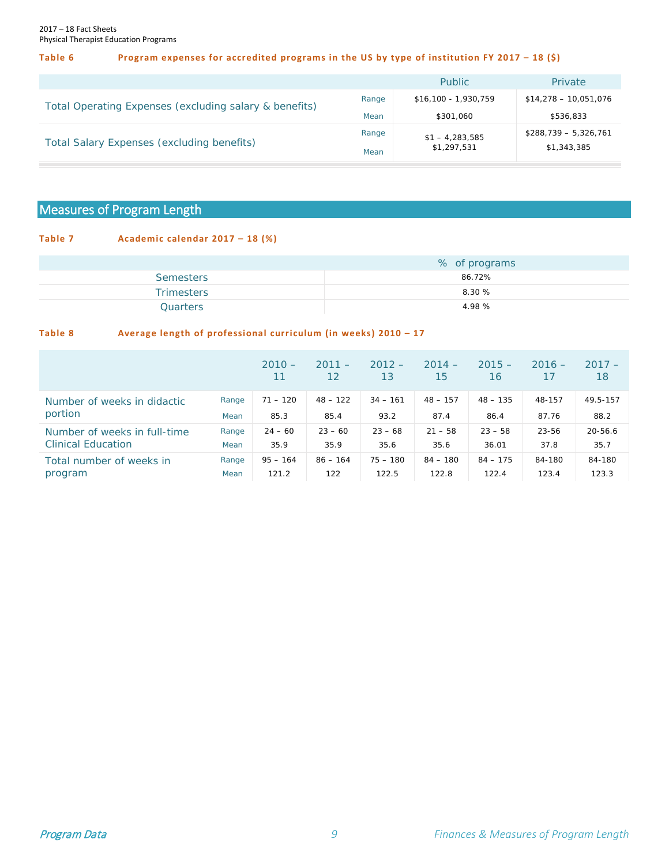#### **Table 6 Program expenses for accredited programs in the US by type of institution FY 2017 – 18 (\$)**

|                                                        |       | Public                | <b>Private</b>         |
|--------------------------------------------------------|-------|-----------------------|------------------------|
| Total Operating Expenses (excluding salary & benefits) | Range | $$16,100 - 1,930,759$ | $$14,278 - 10,051,076$ |
|                                                        | Mean  | \$301.060             | \$536,833              |
| Total Salary Expenses (excluding benefits)             | Range | $$1 - 4,283,585$      | $$288,739 - 5,326,761$ |
|                                                        | Mean  | \$1,297,531           | \$1,343,385            |

### <span id="page-9-0"></span>Measures of Program Length

#### **Table 7 Academic calendar 2017 – 18 (%)**

|                   | % of programs |
|-------------------|---------------|
| <b>Semesters</b>  | 86.72%        |
| <b>Trimesters</b> | 8.30%         |
| Quarters          | 4.98 %        |

#### **Table 8 Average length of professional curriculum (in weeks) 2010 – 17**

|                                        |       | $2010 -$<br>11 | $2011 -$<br>12 | $2012 -$<br>13 | $2014 -$<br>15 | $2015 -$<br>16 | $2016 -$ | $2017 -$<br>18 |
|----------------------------------------|-------|----------------|----------------|----------------|----------------|----------------|----------|----------------|
| Number of weeks in didactic<br>portion | Range | $71 - 120$     | $48 - 122$     | $34 - 161$     | $48 - 157$     | $48 - 135$     | 48-157   | 49.5-157       |
|                                        | Mean  | 85.3           | 85.4           | 93.2           | 87.4           | 86.4           | 87.76    | 88.2           |
| Number of weeks in full-time           | Range | $24 - 60$      | $23 - 60$      | $23 - 68$      | $21 - 58$      | $23 - 58$      | 23-56    | $20 - 56.6$    |
| <b>Clinical Education</b>              | Mean  | 35.9           | 35.9           | 35.6           | 35.6           | 36.01          | 37.8     | 35.7           |
| Total number of weeks in               | Range | $95 - 164$     | $86 - 164$     | $75 - 180$     | $84 - 180$     | $84 - 175$     | 84-180   | 84-180         |
| program                                | Mean  | 121.2          | 122            | 122.5          | 122.8          | 122.4          | 123.4    | 123.3          |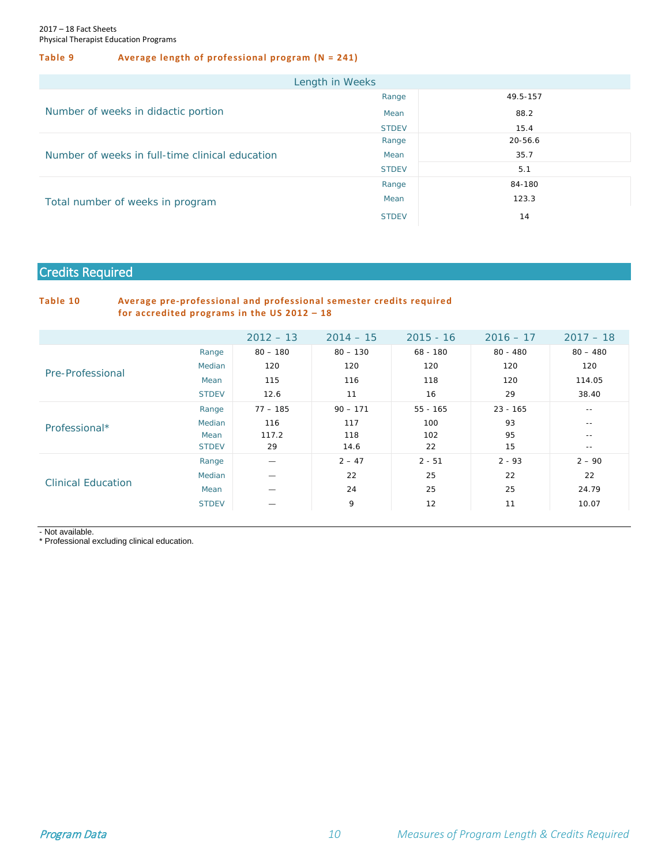#### **Table 9 Average length of professional program (N = 241)**

|                                                 | Length in Weeks |          |
|-------------------------------------------------|-----------------|----------|
|                                                 | Range           | 49.5-157 |
| Number of weeks in didactic portion             | Mean            | 88.2     |
|                                                 | <b>STDEV</b>    | 15.4     |
|                                                 | Range           | 20-56.6  |
| Number of weeks in full-time clinical education | Mean            | 35.7     |
|                                                 | <b>STDEV</b>    | 5.1      |
|                                                 | Range           | 84-180   |
| Total number of weeks in program                | Mean            | 123.3    |
|                                                 | <b>STDEV</b>    | 14       |

#### <span id="page-10-0"></span>Credits Required

#### **Table 10 Average pre-professional and professional semester credits required for accredited programs in the US 2012 – 18**

|                           |               | $2012 - 13$ | $2014 - 15$ | $2015 - 16$ | $2016 - 17$ | $2017 - 18$ |
|---------------------------|---------------|-------------|-------------|-------------|-------------|-------------|
|                           | Range         | $80 - 180$  | $80 - 130$  | $68 - 180$  | $80 - 480$  | $80 - 480$  |
| Pre-Professional          | <b>Median</b> | 120         | 120         | 120         | 120         | 120         |
|                           | Mean          | 115         | 116         | 118         | 120         | 114.05      |
|                           | <b>STDEV</b>  | 12.6        | 11          | 16          | 29          | 38.40       |
|                           | Range         | $77 - 185$  | $90 - 171$  | $55 - 165$  | $23 - 165$  | $- -$       |
| Professional*             | Median        | 116         | 117         | 100         | 93          | $- -$       |
|                           | Mean          | 117.2       | 118         | 102         | 95          | $- -$       |
|                           | <b>STDEV</b>  | 29          | 14.6        | 22          | 15          | $- -$       |
|                           | Range         |             | $2 - 47$    | $2 - 51$    | $2 - 93$    | $2 - 90$    |
| <b>Clinical Education</b> | <b>Median</b> |             | 22          | 25          | 22          | 22          |
|                           | Mean          |             | 24          | 25          | 25          | 24.79       |
|                           | <b>STDEV</b>  |             | 9           | 12          | 11          | 10.07       |

- Not available.

\* Professional excluding clinical education.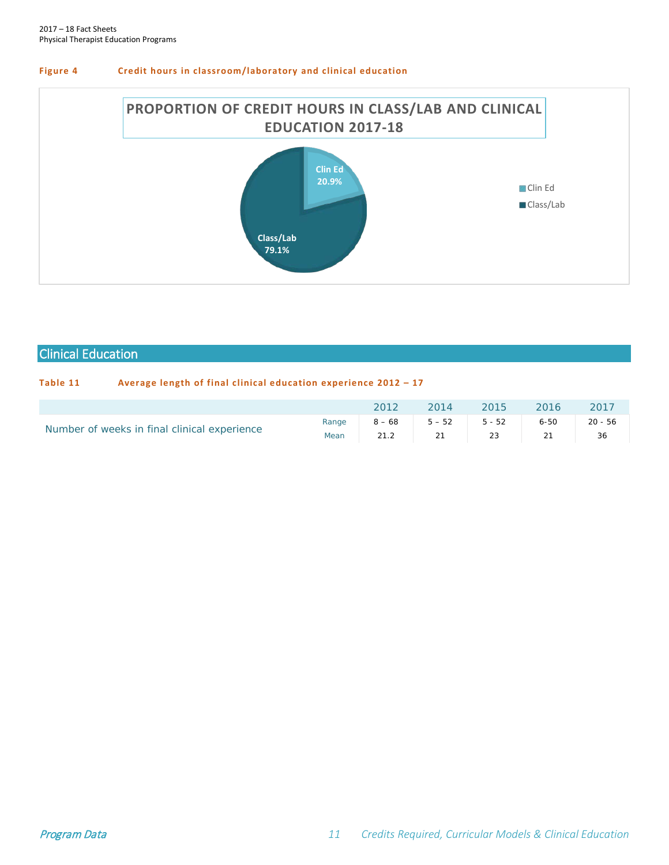



#### <span id="page-11-0"></span>Clinical Education

#### **Table 11 Average length of final clinical education experience 2012 – 17**

|                                              | 2012 | 2014 2015 2016 2017   |  |                                           |
|----------------------------------------------|------|-----------------------|--|-------------------------------------------|
| Number of weeks in final clinical experience |      | Mean 21.2 21 23 21 36 |  | Range $8-68$ $5-52$ $5-52$ $6-50$ $20-56$ |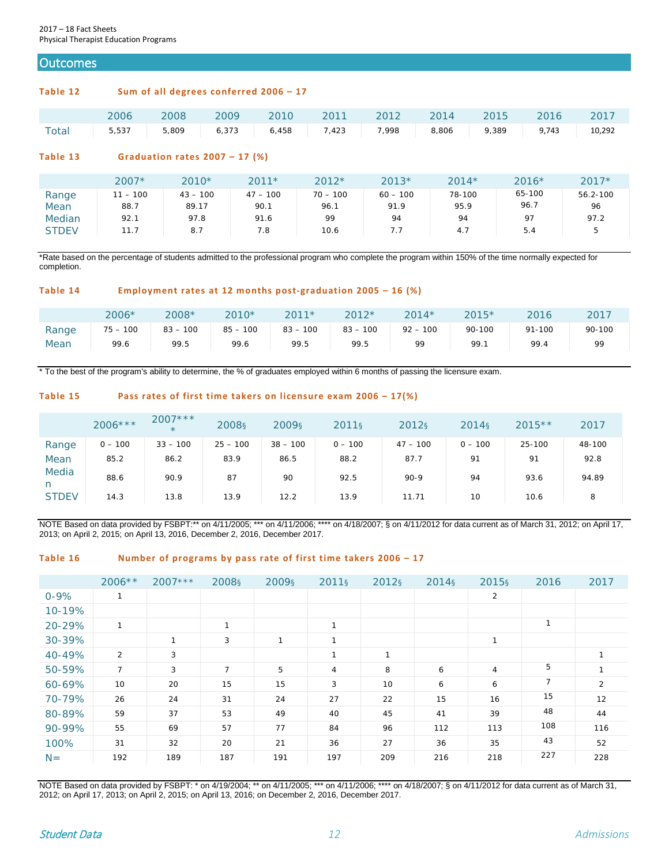#### <span id="page-12-0"></span>**Outcomes**

#### **Table 12 Sum of all degrees conferred 2006 – 17**

|                                                                    |  |  |  | 2006 2008 2009 2010 2011 2012 2014 2015 2016 2017 |  |
|--------------------------------------------------------------------|--|--|--|---------------------------------------------------|--|
| Total 5,537 5,809 6,373 6,458 7,423 7,998 8,806 9,389 9,743 10,292 |  |  |  |                                                   |  |

#### **Table 13 Graduation rates 2007 – 17 (%)**

|              | $2007*$    | $2010*$    | $2011*$    | $2012*$    | $2013*$    | $2014*$ | $2016*$ | $2017*$  |
|--------------|------------|------------|------------|------------|------------|---------|---------|----------|
| Range        | $11 - 100$ | $43 - 100$ | $47 - 100$ | $70 - 100$ | $60 - 100$ | 78-100  | 65-100  | 56.2-100 |
| Mean         | 88.7       | 89.17      | 90.1       | 96.1       | 91.9       | 95.9    | 96.7    | 96       |
| Median       | 92.1       | 97.8       | 91.6       | 99         | 94         | 94      | 97      | 97.2     |
| <b>STDEV</b> | 11.7       | 8.7        | 7.8        | 10.6       | 7.7        | 4.7     | 5.4     | 5        |

\*Rate based on the percentage of students admitted to the professional program who complete the program within 150% of the time normally expected for completion.

#### **Table 14 Employment rates at 12 months post-graduation 2005 – 16 (%)**

|       | 2006*         | 2008*         | 2010*      | $2011*$    | $2012*$    | $2014*$       | $2015*$ | 2016   | 2017   |
|-------|---------------|---------------|------------|------------|------------|---------------|---------|--------|--------|
| Range | 100<br>$75 -$ | 100<br>$83 -$ | $85 - 100$ | $83 - 100$ | $83 - 100$ | 100<br>$92 -$ | 90-100  | 91-100 | 90-100 |
| Mean  | 99.6          | 99.5          | 99.6       | 99.5       | 99.5       | 99            | 99.1    | 99.4   | QQ     |

\* To the best of the program's ability to determine, the % of graduates employed within 6 months of passing the licensure exam.

#### **Table 15 Pass rates of first time takers on licensure exam 2006 – 17(%)**

|              | $2006***$ | $2007***$<br>$\star$ | 2008 <sub>S</sub> | 2009 <sub>S</sub> | 2011 <sub>§</sub> | 2012 <sub>§</sub> | 2014s     | $2015**$ | 2017   |
|--------------|-----------|----------------------|-------------------|-------------------|-------------------|-------------------|-----------|----------|--------|
| Range        | $0 - 100$ | $33 - 100$           | $25 - 100$        | $38 - 100$        | $0 - 100$         | $47 - 100$        | $0 - 100$ | 25-100   | 48-100 |
| Mean         | 85.2      | 86.2                 | 83.9              | 86.5              | 88.2              | 87.7              | 91        | 91       | 92.8   |
| Media<br>n   | 88.6      | 90.9                 | 87                | 90                | 92.5              | $90-9$            | 94        | 93.6     | 94.89  |
| <b>STDEV</b> | 14.3      | 13.8                 | 13.9              | 12.2              | 13.9              | 11.71             | 10        | 10.6     | 8      |

NOTE Based on data provided by FSBPT:\*\* on 4/11/2005; \*\*\* on 4/11/2006; \*\*\*\* on 4/18/2007; § on 4/11/2012 for data current as of March 31, 2012; on April 17, 2013; on April 2, 2015; on April 13, 2016, December 2, 2016, December 2017.

#### **Table 16 Number of programs by pass rate of first time takers 2006 – 17**

|          | $2006**$       | $2007***$    | 2008 <sub>§</sub> | 2009 <sub>§</sub> | 2011 <sub>§</sub> | 2012 <sub>§</sub> | 2014 <sub>§</sub> | 2015 <sub>§</sub> | 2016           | 2017 |
|----------|----------------|--------------|-------------------|-------------------|-------------------|-------------------|-------------------|-------------------|----------------|------|
| $0 - 9%$ | 1              |              |                   |                   |                   |                   |                   | 2                 |                |      |
| 10-19%   |                |              |                   |                   |                   |                   |                   |                   |                |      |
| 20-29%   | 1              |              | 1                 |                   | $\mathbf{1}$      |                   |                   |                   |                |      |
| 30-39%   |                | $\mathbf{I}$ | 3                 | $\mathbf{1}$      | $\mathbf{A}$      |                   |                   | $\mathbf{1}$      |                |      |
| 40-49%   | 2              | 3            |                   |                   | $\mathbf{1}$      | 1                 |                   |                   |                |      |
| 50-59%   | $\overline{7}$ | 3            | $\overline{7}$    | 5                 | 4                 | 8                 | 6                 | 4                 | 5              |      |
| 60-69%   | 10             | 20           | 15                | 15                | 3                 | 10                | 6                 | 6                 | $\overline{7}$ | 2    |
| 70-79%   | 26             | 24           | 31                | 24                | 27                | 22                | 15                | 16                | 15             | 12   |
| 80-89%   | 59             | 37           | 53                | 49                | 40                | 45                | 41                | 39                | 48             | 44   |
| 90-99%   | 55             | 69           | 57                | 77                | 84                | 96                | 112               | 113               | 108            | 116  |
| 100%     | 31             | 32           | 20                | 21                | 36                | 27                | 36                | 35                | 43             | 52   |
| $N =$    | 192            | 189          | 187               | 191               | 197               | 209               | 216               | 218               | 227            | 228  |

NOTE Based on data provided by FSBPT: \* on 4/19/2004; \*\* on 4/11/2005; \*\*\* on 4/11/2006; \*\*\*\* on 4/18/2007; § on 4/11/2012 for data current as of March 31, 2012; on April 17, 2013; on April 2, 2015; on April 13, 2016; on December 2, 2016, December 2017.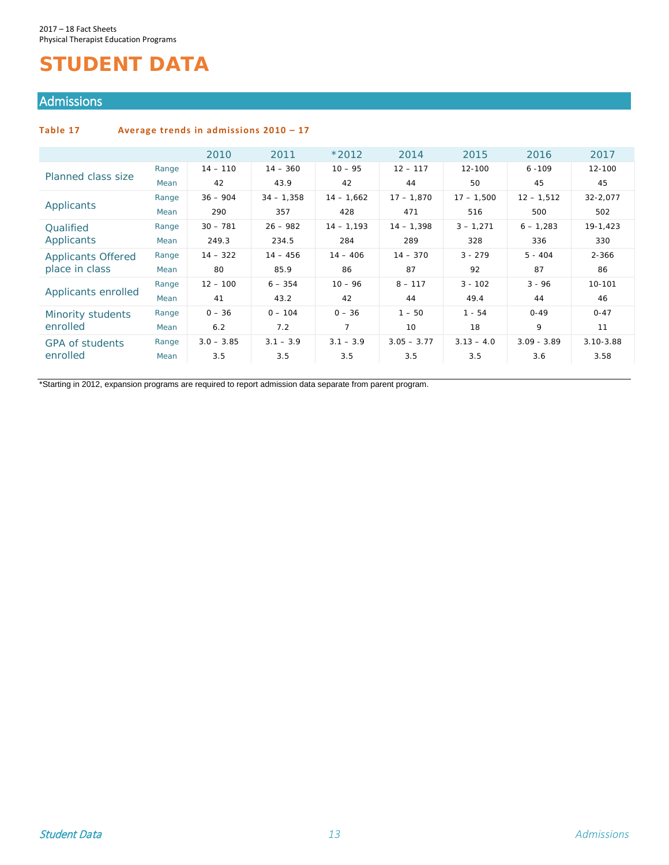## <span id="page-13-0"></span>**STUDENT DATA**

#### <span id="page-13-1"></span>Admissions

#### **Table 17 Average trends in admissions 2010 – 17**

|                           |       | 2010         | 2011         | $*2012$      | 2014          | 2015         | 2016          | 2017          |
|---------------------------|-------|--------------|--------------|--------------|---------------|--------------|---------------|---------------|
| Planned class size        | Range | $14 - 110$   | $14 - 360$   | $10 - 95$    | $12 - 117$    | 12-100       | $6 - 109$     | $12 - 100$    |
|                           | Mean  | 42           | 43.9         | 42           | 44            | 50           | 45            | 45            |
|                           | Range | $36 - 904$   | $34 - 1,358$ | $14 - 1.662$ | $17 - 1,870$  | $17 - 1.500$ | $12 - 1,512$  | 32-2,077      |
| Applicants                | Mean  | 290          | 357          | 428          | 471           | 516          | 500           | 502           |
| <b>Qualified</b>          | Range | $30 - 781$   | $26 - 982$   | $14 - 1,193$ | $14 - 1,398$  | $3 - 1,271$  | $6 - 1,283$   | 19-1,423      |
| Applicants                | Mean  | 249.3        | 234.5        | 284          | 289           | 328          | 336           | 330           |
| <b>Applicants Offered</b> | Range | $14 - 322$   | $14 - 456$   | $14 - 406$   | $14 - 370$    | $3 - 279$    | $5 - 404$     | $2 - 366$     |
| place in class            | Mean  | 80           | 85.9         | 86           | 87            | 92           | 87            | 86            |
|                           | Range | $12 - 100$   | $6 - 354$    | $10 - 96$    | $8 - 117$     | $3 - 102$    | $3 - 96$      | 10-101        |
| Applicants enrolled       | Mean  | 41           | 43.2         | 42           | 44            | 49.4         | 44            | 46            |
| Minority students         | Range | $0 - 36$     | $0 - 104$    | $0 - 36$     | $1 - 50$      | $1 - 54$     | $0 - 49$      | $0 - 47$      |
| enrolled                  | Mean  | 6.2          | 7.2          | 7            | 10            | 18           | 9             | 11            |
| <b>GPA of students</b>    | Range | $3.0 - 3.85$ | $3.1 - 3.9$  | $3.1 - 3.9$  | $3.05 - 3.77$ | $3.13 - 4.0$ | $3.09 - 3.89$ | $3.10 - 3.88$ |
| enrolled                  | Mean  | 3.5          | 3.5          | 3.5          | 3.5           | 3.5          | 3.6           | 3.58          |

\*Starting in 2012, expansion programs are required to report admission data separate from parent program.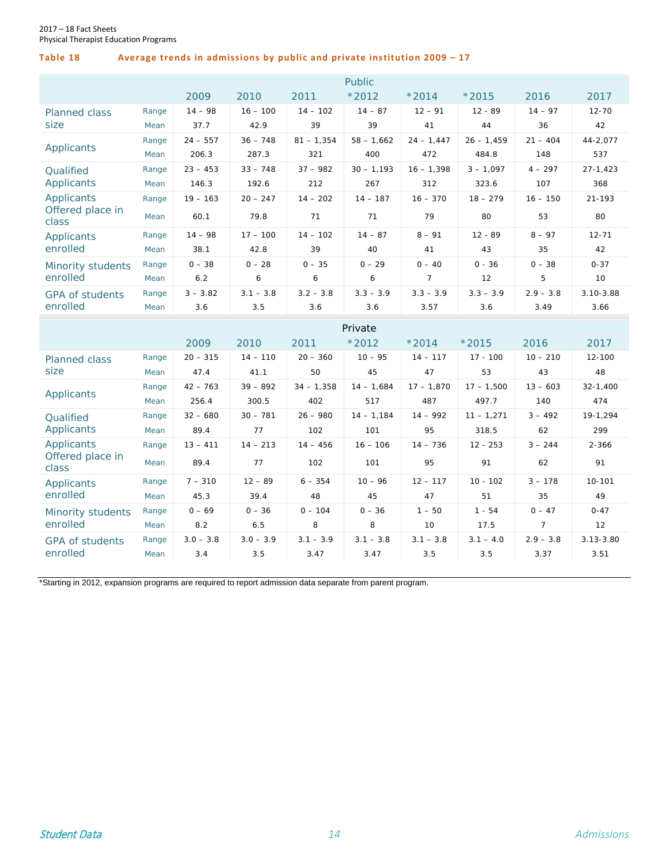#### **Table 18 Average trends in admissions by public and private institution 2009 – 17**

|                           |       |            |             |              | <b>Public</b> |                |              |             |               |
|---------------------------|-------|------------|-------------|--------------|---------------|----------------|--------------|-------------|---------------|
|                           |       | 2009       | 2010        | 2011         | $*2012$       | $*2014$        | $*2015$      | 2016        | 2017          |
| <b>Planned class</b>      | Range | $14 - 98$  | $16 - 100$  | $14 - 102$   | $14 - 87$     | $12 - 91$      | $12 - 89$    | $14 - 97$   | $12 - 70$     |
| size                      | Mean  | 37.7       | 42.9        | 39           | 39            | 41             | 44           | 36          | 42            |
|                           | Range | $24 - 557$ | $36 - 748$  | $81 - 1,354$ | $58 - 1,662$  | $24 - 1,447$   | $26 - 1,459$ | $21 - 404$  | 44-2,077      |
| Applicants                | Mean  | 206.3      | 287.3       | 321          | 400           | 472            | 484.8        | 148         | 537           |
| Qualified                 | Range | $23 - 453$ | $33 - 748$  | $37 - 982$   | $30 - 1,193$  | $16 - 1,398$   | $3 - 1,097$  | $4 - 297$   | $27 - 1,423$  |
| Applicants                | Mean  | 146.3      | 192.6       | 212          | 267           | 312            | 323.6        | 107         | 368           |
| Applicants                | Range | $19 - 163$ | $20 - 247$  | $14 - 202$   | $14 - 187$    | $16 - 370$     | $18 - 279$   | $16 - 150$  | $21 - 193$    |
| Offered place in<br>class | Mean  | 60.1       | 79.8        | 71           | 71            | 79             | 80           | 53          | 80            |
| Applicants                | Range | $14 - 98$  | $17 - 100$  | $14 - 102$   | $14 - 87$     | $8 - 91$       | $12 - 89$    | $8 - 97$    | $12 - 71$     |
| enrolled                  | Mean  | 38.1       | 42.8        | 39           | 40            | 41             | 43           | 35          | 42            |
| Minority students         | Range | $0 - 38$   | $0 - 28$    | $0 - 35$     | $0 - 29$      | $0 - 40$       | $0 - 36$     | $0 - 38$    | $0 - 37$      |
| enrolled                  | Mean  | 6.2        | 6           | 6            | 6             | $\overline{7}$ | 12           | 5           | 10            |
| <b>GPA of students</b>    | Range | $3 - 3.82$ | $3.1 - 3.8$ | $3.2 - 3.8$  | $3.3 - 3.9$   | $3.3 - 3.9$    | $3.3 - 3.9$  | $2.9 - 3.8$ | $3.10 - 3.88$ |
| enrolled                  | Mean  | 3.6        | 3.5         | 3.6          | 3.6           | 3.57           | 3.6          | 3.49        | 3.66          |

|                                    |       |             |             |              | Private      |              |              |             |               |
|------------------------------------|-------|-------------|-------------|--------------|--------------|--------------|--------------|-------------|---------------|
|                                    |       | 2009        | 2010        | 2011         | $*2012$      | $*2014$      | $*2015$      | 2016        | 2017          |
| <b>Planned class</b>               | Range | $20 - 315$  | $14 - 110$  | $20 - 360$   | $10 - 95$    | $14 - 117$   | $17 - 100$   | $10 - 210$  | 12-100        |
| size                               | Mean  | 47.4        | 41.1        | 50           | 45           | 47           | 53           | 43          | 48            |
|                                    | Range | $42 - 763$  | $39 - 892$  | $34 - 1,358$ | $14 - 1,684$ | $17 - 1,870$ | $17 - 1,500$ | $13 - 603$  | $32 - 1,400$  |
| Applicants                         | Mean  | 256.4       | 300.5       | 402          | 517          | 487          | 497.7        | 140         | 474           |
| Qualified                          | Range | $32 - 680$  | $30 - 781$  | $26 - 980$   | $14 - 1,184$ | $14 - 992$   | $11 - 1,271$ | $3 - 492$   | 19-1,294      |
| Applicants                         | Mean  | 89.4        | 77          | 102          | 101          | 95           | 318.5        | 62          | 299           |
| Applicants                         | Range | $13 - 411$  | $14 - 213$  | $14 - 456$   | $16 - 106$   | $14 - 736$   | $12 - 253$   | $3 - 244$   | $2 - 366$     |
| Offered place in<br>class          | Mean  | 89.4        | 77          | 102          | 101          | 95           | 91           | 62          | 91            |
| Applicants                         | Range | $7 - 310$   | $12 - 89$   | $6 - 354$    | $10 - 96$    | $12 - 117$   | $10 - 102$   | $3 - 178$   | 10-101        |
| enrolled                           | Mean  | 45.3        | 39.4        | 48           | 45           | 47           | 51           | 35          | 49            |
| Minority students                  | Range | $0 - 69$    | $0 - 36$    | $0 - 104$    | $0 - 36$     | $1 - 50$     | $1 - 54$     | $0 - 47$    | $0 - 47$      |
| enrolled                           | Mean  | 8.2         | 6.5         | 8            | 8            | 10           | 17.5         |             | 12            |
| <b>GPA of students</b><br>enrolled | Range | $3.0 - 3.8$ | $3.0 - 3.9$ | $3.1 - 3.9$  | $3.1 - 3.8$  | $3.1 - 3.8$  | $3.1 - 4.0$  | $2.9 - 3.8$ | $3.13 - 3.80$ |
|                                    | Mean  | 3.4         | 3.5         | 3.47         | 3.47         | 3.5          | 3.5          | 3.37        | 3.51          |

\*Starting in 2012, expansion programs are required to report admission data separate from parent program.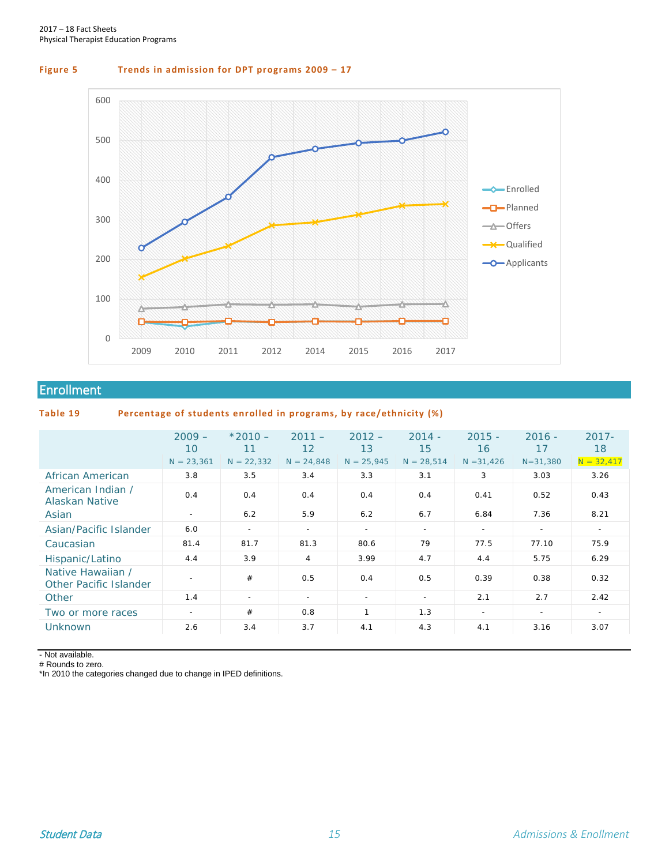#### **Figure 5 Trends in admission for DPT programs 2009 – 17**



#### <span id="page-15-0"></span>Enrollment

#### **Table 19 Percentage of students enrolled in programs, by race/ethnicity (%)**

|                                             | $2009 -$<br>10           | $*2010 -$<br>11 | $2011 -$<br>12           | $2012 -$<br>13 | $2014 -$<br>15           | $2015 -$<br>16 | $2016 -$<br>17           | $2017 -$<br>18 |
|---------------------------------------------|--------------------------|-----------------|--------------------------|----------------|--------------------------|----------------|--------------------------|----------------|
|                                             | $N = 23,361$             | $N = 22,332$    | $N = 24,848$             | $N = 25,945$   | $N = 28,514$             | $N = 31,426$   | $N = 31,380$             | $N = 32,417$   |
| African American                            | 3.8                      | 3.5             | 3.4                      | 3.3            | 3.1                      | 3              | 3.03                     | 3.26           |
| American Indian /<br>Alaskan Native         | 0.4                      | 0.4             | 0.4                      | 0.4            | 0.4                      | 0.41           | 0.52                     | 0.43           |
| Asian                                       | $\sim$                   | 6.2             | 5.9                      | 6.2            | 6.7                      | 6.84           | 7.36                     | 8.21           |
| Asian/Pacific Islander                      | 6.0                      | $\sim$          | $\overline{\phantom{a}}$ | $\sim$         | $\overline{\phantom{a}}$ | $\sim$         | $\overline{\phantom{a}}$ | $\sim$         |
| Caucasian                                   | 81.4                     | 81.7            | 81.3                     | 80.6           | 79                       | 77.5           | 77.10                    | 75.9           |
| Hispanic/Latino                             | 4.4                      | 3.9             | 4                        | 3.99           | 4.7                      | 4.4            | 5.75                     | 6.29           |
| Native Hawaiian /<br>Other Pacific Islander | $\overline{\phantom{a}}$ | #               | 0.5                      | 0.4            | 0.5                      | 0.39           | 0.38                     | 0.32           |
| Other                                       | 1.4                      | $\sim$          | $\overline{\phantom{a}}$ | $\sim$         | $\sim$                   | 2.1            | 2.7                      | 2.42           |
| Two or more races                           | $\sim$                   | #               | 0.8                      | 1              | 1.3                      | $\sim$         | $\overline{\phantom{a}}$ | $\sim$         |
| <b>Unknown</b>                              | 2.6                      | 3.4             | 3.7                      | 4.1            | 4.3                      | 4.1            | 3.16                     | 3.07           |

- Not available.

# Rounds to zero.

\*In 2010 the categories changed due to change in IPED definitions.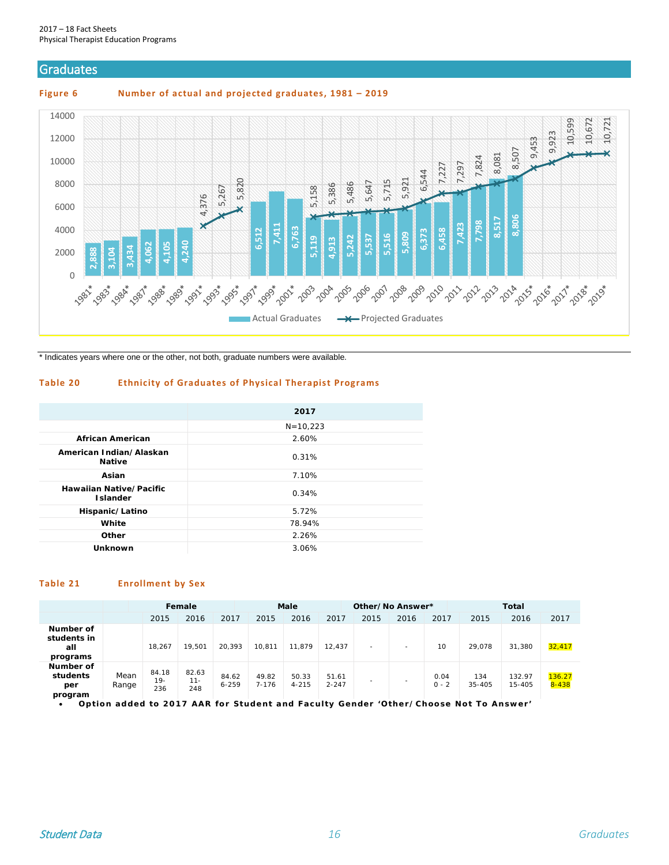#### <span id="page-16-0"></span>**Graduates**

**Figure 6 Number of actual and projected graduates, 1981 – 2019**



\* Indicates years where one or the other, not both, graduate numbers were available.

#### **Table 20 Ethnicity of Graduates of Physical Therapist Programs**

|                                            | 2017         |
|--------------------------------------------|--------------|
|                                            | $N = 10,223$ |
| <b>African American</b>                    | 2.60%        |
| American Indian/Alaskan<br><b>Native</b>   | 0.31%        |
| Asian                                      | 7.10%        |
| Hawaiian Native/Pacific<br><b>Islander</b> | 0.34%        |
| Hispanic/Latino                            | 5.72%        |
| White                                      | 78.94%       |
| Other                                      | 2.26%        |
| <b>Unknown</b>                             | 3.06%        |

#### **Table 21 Enrollment by Sex**

|                                             |               |                       | Female                 |                    |                    | Male               |                    | Other/No Answer* |      |                 |               | <b>Total</b>     |                     |
|---------------------------------------------|---------------|-----------------------|------------------------|--------------------|--------------------|--------------------|--------------------|------------------|------|-----------------|---------------|------------------|---------------------|
|                                             |               | 2015                  | 2016                   | 2017               | 2015               | 2016               | 2017               | 2015             | 2016 | 2017            | 2015          | 2016             | 2017                |
| Number of<br>students in<br>all<br>programs |               | 18,267                | 19.501                 | 20,393             | 10.811             | 11,879             | 12.437             |                  |      | 10              | 29.078        | 31,380           | 32,417              |
| Number of<br>students<br>per<br>program     | Mean<br>Range | 84.18<br>$19-$<br>236 | 82.63<br>$11 -$<br>248 | 84.62<br>$6 - 259$ | 49.82<br>$7 - 176$ | 50.33<br>$4 - 215$ | 51.61<br>$2 - 247$ |                  |      | 0.04<br>$0 - 2$ | 134<br>35-405 | 132.97<br>15-405 | 136.27<br>$8 - 438$ |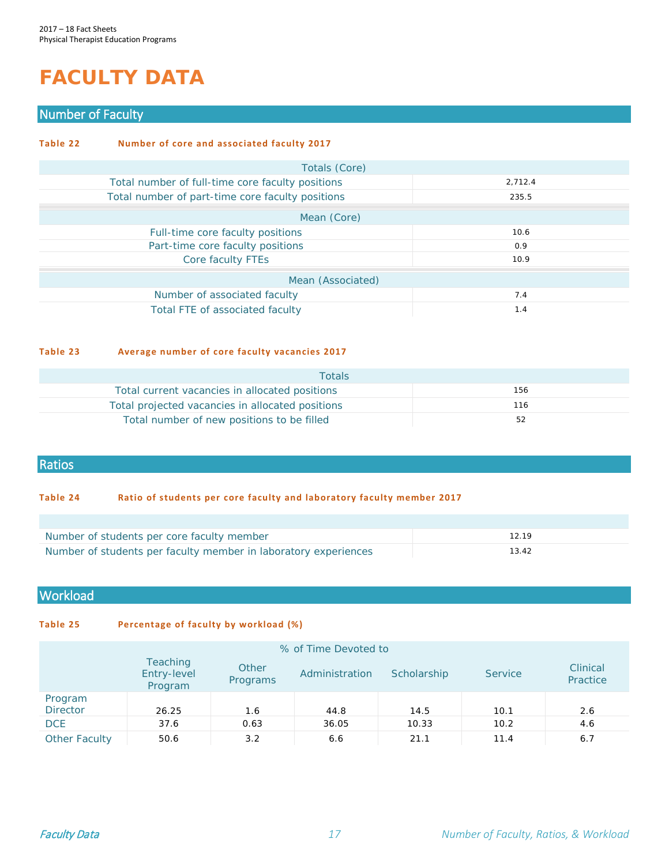# <span id="page-17-0"></span>**FACULTY DATA**

#### <span id="page-17-1"></span>Number of Faculty

| Table 22          | Number of core and associated faculty 2017       |         |  |  |  |  |  |
|-------------------|--------------------------------------------------|---------|--|--|--|--|--|
|                   | Totals (Core)                                    |         |  |  |  |  |  |
|                   | Total number of full-time core faculty positions | 2,712.4 |  |  |  |  |  |
|                   | Total number of part-time core faculty positions | 235.5   |  |  |  |  |  |
|                   | Mean (Core)                                      |         |  |  |  |  |  |
|                   | Full-time core faculty positions                 | 10.6    |  |  |  |  |  |
|                   | Part-time core faculty positions                 | 0.9     |  |  |  |  |  |
|                   | Core faculty FTEs                                | 10.9    |  |  |  |  |  |
| Mean (Associated) |                                                  |         |  |  |  |  |  |
|                   | Number of associated faculty                     | 7.4     |  |  |  |  |  |
|                   | Total FTE of associated faculty                  | 1.4     |  |  |  |  |  |

#### **Table 23 Average number of core faculty vacancies 2017**

| <b>Totals</b>                                    |     |
|--------------------------------------------------|-----|
| Total current vacancies in allocated positions   | 156 |
| Total projected vacancies in allocated positions | 116 |
| Total number of new positions to be filled       | 52  |

#### <span id="page-17-2"></span>Ratios

#### **Table 24 Ratio of students per core faculty and laboratory faculty member 2017**

| Number of students per core faculty member                      | 12 19 |
|-----------------------------------------------------------------|-------|
| Number of students per faculty member in laboratory experiences | 13.42 |

#### <span id="page-17-3"></span>**Workload**

#### **Table 25 Percentage of faculty by workload (%)**

| % of Time Devoted to       |                                           |                   |                |             |                |                      |  |  |
|----------------------------|-------------------------------------------|-------------------|----------------|-------------|----------------|----------------------|--|--|
|                            | <b>Teaching</b><br>Entry-level<br>Program | Other<br>Programs | Administration | Scholarship | <b>Service</b> | Clinical<br>Practice |  |  |
| Program<br><b>Director</b> | 26.25                                     | 1.6               | 44.8           | 14.5        | 10.1           | 2.6                  |  |  |
| <b>DCE</b>                 | 37.6                                      | 0.63              | 36.05          | 10.33       | 10.2           | 4.6                  |  |  |
| Other Faculty              | 50.6                                      | 3.2               | 6.6            | 21.1        | 11.4           | 6.7                  |  |  |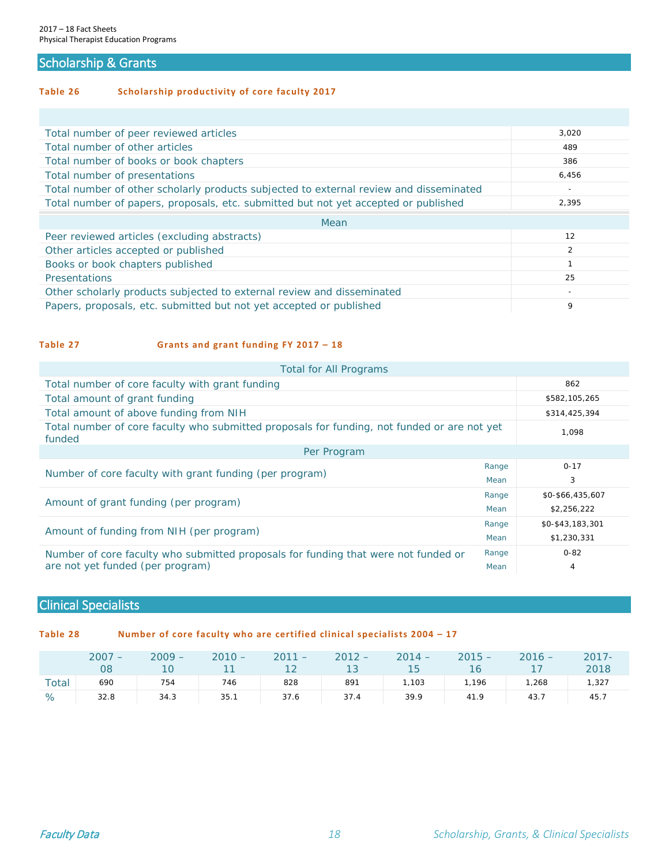#### <span id="page-18-0"></span>Scholarship & Grants

**Table 26 Scholarship productivity of core faculty 2017** 

| Total number of peer reviewed articles                                                 | 3,020                    |
|----------------------------------------------------------------------------------------|--------------------------|
| Total number of other articles                                                         | 489                      |
| Total number of books or book chapters                                                 | 386                      |
| Total number of presentations                                                          | 6,456                    |
| Total number of other scholarly products subjected to external review and disseminated | $\overline{\phantom{0}}$ |
| Total number of papers, proposals, etc. submitted but not yet accepted or published    | 2,395                    |
| Mean                                                                                   |                          |
| Peer reviewed articles (excluding abstracts)                                           | 12                       |
| Other articles accepted or published                                                   | $\overline{2}$           |
| Books or book chapters published                                                       | 1                        |
| Presentations                                                                          | 25                       |
| Other scholarly products subjected to external review and disseminated                 |                          |
|                                                                                        |                          |

#### **Table 27 Grants and grant funding FY 2017 – 18**

| <b>Total for All Programs</b>                                                                         |       |                  |  |  |  |  |  |
|-------------------------------------------------------------------------------------------------------|-------|------------------|--|--|--|--|--|
| Total number of core faculty with grant funding                                                       | 862   |                  |  |  |  |  |  |
| Total amount of grant funding                                                                         |       | \$582,105,265    |  |  |  |  |  |
| Total amount of above funding from NIH                                                                |       | \$314,425,394    |  |  |  |  |  |
| Total number of core faculty who submitted proposals for funding, not funded or are not yet<br>funded | 1.098 |                  |  |  |  |  |  |
| Per Program                                                                                           |       |                  |  |  |  |  |  |
|                                                                                                       | Range | $0 - 17$         |  |  |  |  |  |
| Number of core faculty with grant funding (per program)                                               | Mean  | 3                |  |  |  |  |  |
|                                                                                                       | Range | \$0-\$66,435,607 |  |  |  |  |  |
| Amount of grant funding (per program)                                                                 | Mean  | \$2,256,222      |  |  |  |  |  |
|                                                                                                       | Range | \$0-\$43,183,301 |  |  |  |  |  |
| Amount of funding from NIH (per program)                                                              | Mean  | \$1,230,331      |  |  |  |  |  |
| Number of core faculty who submitted proposals for funding that were not funded or                    | Range | $0 - 82$         |  |  |  |  |  |
| are not yet funded (per program)                                                                      | Mean  | $\overline{4}$   |  |  |  |  |  |

#### <span id="page-18-1"></span>Clinical Specialists

**Table 28 Number of core faculty who are certified clinical specialists 2004 – 17** 

|       | $2007 -$<br>08 | $2009 -$<br>$\overline{10}$ | $2010 -$ | $2011 - 2012 -$<br>11 12 13 15 |      | $2014 -$ | $2015 -$<br>16 | $2016 -$ | $2017 -$<br>2018 |
|-------|----------------|-----------------------------|----------|--------------------------------|------|----------|----------------|----------|------------------|
| Total | 690            | 754                         | 746      | 828                            | 891  | 1,103    | 1,196          | 1,268    | 1,327            |
| %     | 32.8           | 34.3                        | 35.1     | 37.6                           | 37.4 | 39.9     | 41.9           | 43.7     | 45.7             |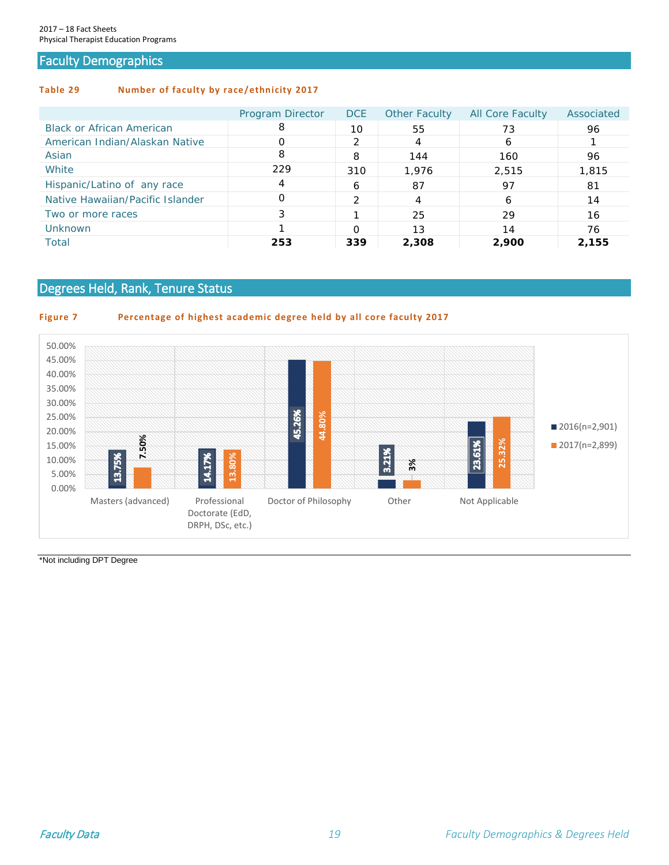#### <span id="page-19-0"></span>Faculty Demographics

#### **Table 29 Number of faculty by race/ethnicity 2017**

|                                  | Program Director | <b>DCE</b>    | <b>Other Faculty</b> | <b>All Core Faculty</b> | Associated |
|----------------------------------|------------------|---------------|----------------------|-------------------------|------------|
| <b>Black or African American</b> | 8                | 10            | 55                   | 73                      | 96         |
| American Indian/Alaskan Native   | 0                | $\mathcal{P}$ | 4                    | 6                       |            |
| Asian                            | 8                | 8             | 144                  | 160                     | 96         |
| White                            | 229              | 310           | 1,976                | 2,515                   | 1,815      |
| Hispanic/Latino of any race      | 4                | 6             | 87                   | 97                      | 81         |
| Native Hawaiian/Pacific Islander | Ο                | ∍             | 4                    | 6                       | 14         |
| Two or more races                | 3                |               | 25                   | 29                      | 16         |
| Unknown                          |                  | O             | 13                   | 14                      | 76         |
| Total                            | 253              | 339           | 2,308                | 2,900                   | 2,155      |

#### <span id="page-19-1"></span>Degrees Held, Rank, Tenure Status

#### **Figure 7 Percentage of highest academic degree held by all core faculty 2017**



\*Not including DPT Degree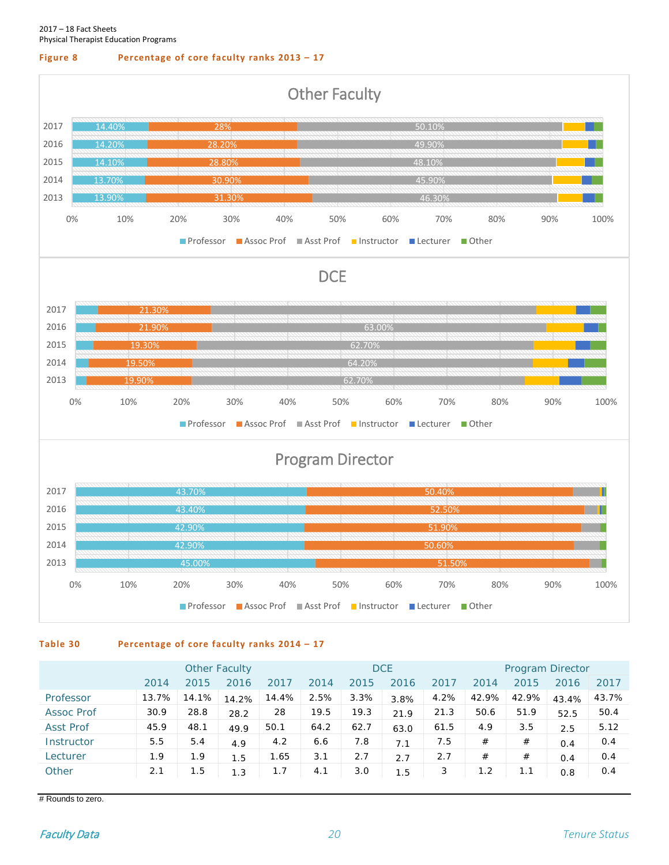#### **Figure 8 Percentage of core faculty ranks 2013 – 17**



**Table 30 Percentage of core faculty ranks 2014 – 17**

|                   | <b>Other Faculty</b> |       |       |       | <b>DCE</b> |      |      |      | Program Director |       |       |       |
|-------------------|----------------------|-------|-------|-------|------------|------|------|------|------------------|-------|-------|-------|
|                   | 2014                 | 2015  | 2016  | 2017  | 2014       | 2015 | 2016 | 2017 | 2014             | 2015  | 2016  | 2017  |
| Professor         | 13.7%                | 14.1% | 14.2% | 14.4% | 2.5%       | 3.3% | 3.8% | 4.2% | 42.9%            | 42.9% | 43.4% | 43.7% |
| <b>Assoc Prof</b> | 30.9                 | 28.8  | 28.2  | 28    | 19.5       | 19.3 | 21.9 | 21.3 | 50.6             | 51.9  | 52.5  | 50.4  |
| <b>Asst Prof</b>  | 45.9                 | 48.1  | 49.9  | 50.1  | 64.2       | 62.7 | 63.0 | 61.5 | 4.9              | 3.5   | 2.5   | 5.12  |
| Instructor        | 5.5                  | 5.4   | 4.9   | 4.2   | 6.6        | 7.8  | 7.1  | 7.5  | #                | #     | 0.4   | 0.4   |
| Lecturer          | 1.9                  | 1.9   | 1.5   | 1.65  | 3.1        | 2.7  | 2.7  | 2.7  | #                | #     | 0.4   | 0.4   |
| Other             | 2.1                  | 1.5   | 1.3   | 1.7   | 4.1        | 3.0  | 1.5  | 3    | 1.2              | 1.1   | 0.8   | 0.4   |

# Rounds to zero.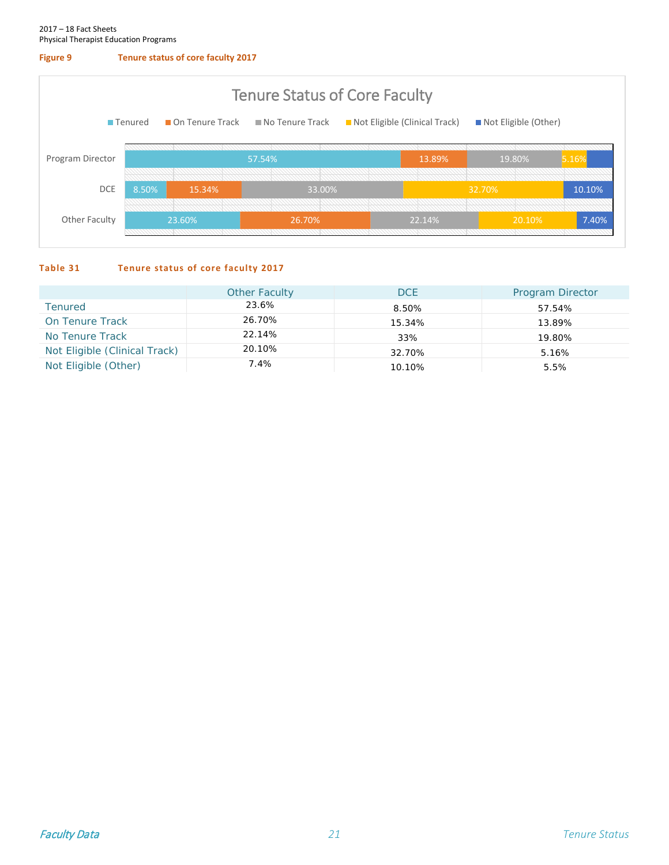#### **Figure 9 Tenure status of core faculty 2017**



#### **Table 31 Tenure status of core faculty 2017**

|                               | <b>Other Faculty</b> | <b>DCE</b> | <b>Program Director</b> |
|-------------------------------|----------------------|------------|-------------------------|
| <b>Tenured</b>                | 23.6%                | 8.50%      | 57.54%                  |
| On Tenure Track               | 26.70%               | 15.34%     | 13.89%                  |
| No Tenure Track               | 22.14%               | 33%        | 19.80%                  |
| Not Eligible (Clinical Track) | 20.10%               | 32.70%     | 5.16%                   |
| Not Eligible (Other)          | 7.4%                 | 10.10%     | 5.5%                    |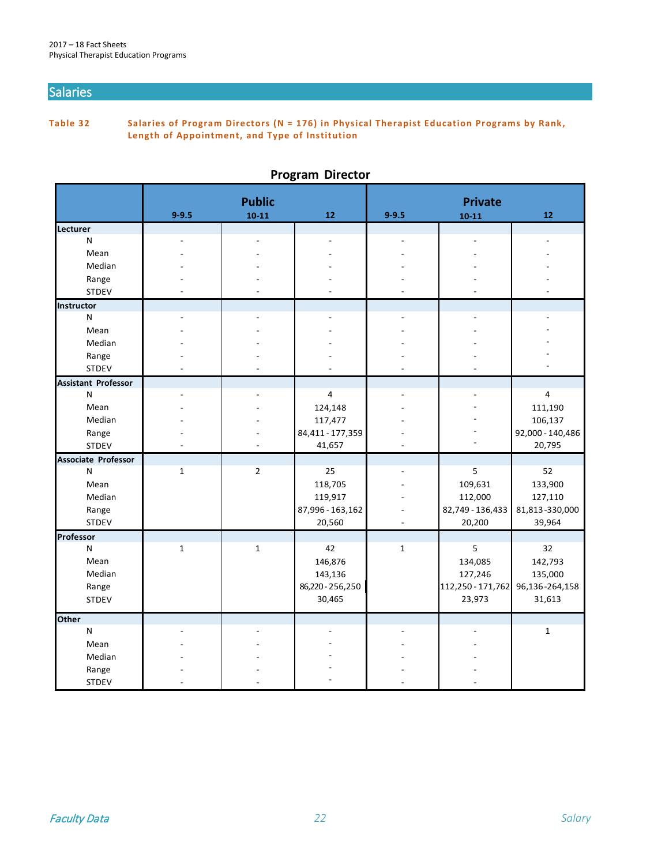#### <span id="page-22-0"></span>Salaries

**Table 32 Salaries of Program Directors (N = 176) in Physical Therapist Education Programs by Rank, Length of Appointment, and Type of Institution**

|                            |              | <b>Public</b>  |                            |              |                             |                            |
|----------------------------|--------------|----------------|----------------------------|--------------|-----------------------------|----------------------------|
|                            | $9 - 9.5$    | $10 - 11$      | 12                         | $9 - 9.5$    | <b>Private</b><br>$10 - 11$ | 12                         |
| Lecturer                   |              |                |                            |              |                             |                            |
| N                          |              |                |                            |              |                             |                            |
| Mean                       |              |                |                            |              |                             |                            |
| Median                     |              |                |                            |              |                             |                            |
| Range                      |              |                |                            |              |                             |                            |
| <b>STDEV</b>               |              |                |                            |              |                             |                            |
| Instructor                 |              |                |                            |              |                             |                            |
| N                          |              |                |                            |              |                             |                            |
| Mean                       |              |                |                            |              |                             |                            |
| Median                     |              |                |                            |              |                             |                            |
| Range                      |              |                |                            |              |                             |                            |
| <b>STDEV</b>               |              |                |                            |              |                             |                            |
| <b>Assistant Professor</b> |              |                |                            |              |                             |                            |
| N                          |              |                | $\overline{4}$             |              |                             | 4                          |
| Mean                       |              |                | 124,148                    |              |                             | 111,190                    |
| Median                     |              |                | 117,477                    |              |                             | 106,137                    |
| Range<br><b>STDEV</b>      |              |                | 84,411 - 177,359<br>41,657 |              |                             | 92,000 - 140,486<br>20,795 |
| Associate Professor        |              |                |                            |              |                             |                            |
| N                          | $\mathbf{1}$ | $\overline{2}$ | 25                         |              | 5                           | 52                         |
| Mean                       |              |                | 118,705                    |              | 109,631                     | 133,900                    |
| Median                     |              |                | 119,917                    |              | 112,000                     | 127,110                    |
| Range                      |              |                | 87,996 - 163,162           |              | 82,749 - 136,433            | 81,813-330,000             |
| <b>STDEV</b>               |              |                | 20,560                     |              | 20,200                      | 39,964                     |
| Professor                  |              |                |                            |              |                             |                            |
| N                          | $\mathbf{1}$ | $\mathbf{1}$   | 42                         | $\mathbf{1}$ | 5                           | 32                         |
| Mean                       |              |                | 146,876                    |              | 134,085                     | 142,793                    |
| Median                     |              |                | 143,136                    |              | 127,246                     | 135,000                    |
| Range                      |              |                | 86,220 - 256,250           |              | 112,250 - 171,762           | 96,136-264,158             |
| <b>STDEV</b>               |              |                | 30,465                     |              | 23,973                      | 31,613                     |
| <b>Other</b>               |              |                |                            |              |                             |                            |
| ${\sf N}$                  |              |                |                            |              |                             | $\mathbf 1$                |
| Mean                       |              |                |                            |              |                             |                            |
| Median                     |              |                |                            |              |                             |                            |
| Range                      |              |                |                            |              |                             |                            |
| <b>STDEV</b>               |              |                |                            |              |                             |                            |

#### **Program Director**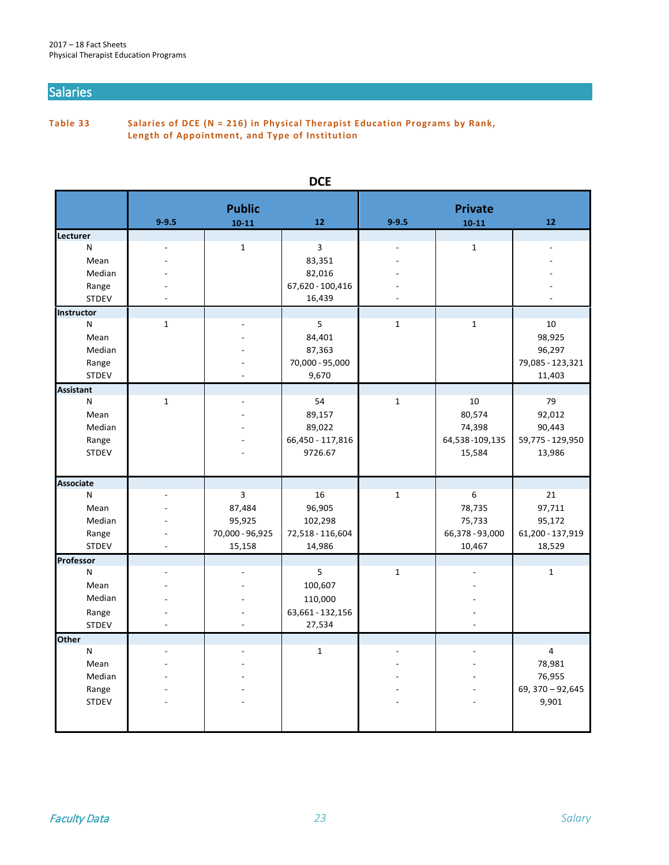#### Salaries

**Table 33 Salaries of DCE (N = 216) in Physical Therapist Education Programs by Rank, Length of Appointment, and Type of Institution**

|                  |              | <b>Public</b>   |                  |              | <b>Private</b>  |                   |
|------------------|--------------|-----------------|------------------|--------------|-----------------|-------------------|
|                  | $9 - 9.5$    | $10 - 11$       | 12               | $9 - 9.5$    | $10 - 11$       | 12                |
| Lecturer         |              |                 |                  |              |                 |                   |
| N                |              | $\mathbf{1}$    | $\overline{3}$   |              | $\mathbf 1$     |                   |
| Mean             |              |                 | 83,351           |              |                 |                   |
| Median           |              |                 | 82,016           |              |                 |                   |
| Range            |              |                 | 67,620 - 100,416 |              |                 |                   |
| <b>STDEV</b>     |              |                 | 16,439           |              |                 |                   |
| Instructor       |              |                 |                  |              |                 |                   |
| N                | $\mathbf 1$  |                 | 5                | $\mathbf{1}$ | $\mathbf 1$     | 10                |
| Mean             |              |                 | 84,401           |              |                 | 98,925            |
| Median           |              |                 | 87,363           |              |                 | 96,297            |
| Range            |              |                 | 70,000 - 95,000  |              |                 | 79,085 - 123,321  |
| <b>STDEV</b>     |              |                 | 9,670            |              |                 | 11,403            |
| <b>Assistant</b> |              |                 |                  |              |                 |                   |
| N                | $\mathbf{1}$ |                 | 54               | $\mathbf{1}$ | 10              | 79                |
| Mean             |              |                 | 89,157           |              | 80,574          | 92,012            |
| Median           |              |                 | 89,022           |              | 74,398          | 90,443            |
| Range            |              |                 | 66,450 - 117,816 |              | 64,538-109,135  | 59,775 - 129,950  |
| <b>STDEV</b>     |              |                 | 9726.67          |              | 15,584          | 13,986            |
|                  |              |                 |                  |              |                 |                   |
| <b>Associate</b> |              |                 |                  |              |                 |                   |
| N                |              | 3               | 16               | $\mathbf{1}$ | 6               | 21                |
| Mean             |              | 87,484          | 96,905           |              | 78,735          | 97,711            |
| Median           |              | 95,925          | 102,298          |              | 75,733          | 95,172            |
| Range            |              | 70,000 - 96,925 | 72,518 - 116,604 |              | 66,378 - 93,000 | 61,200 - 137,919  |
| <b>STDEV</b>     |              | 15,158          | 14,986           |              | 10,467          | 18,529            |
| Professor        |              |                 |                  |              |                 |                   |
| N                |              |                 | 5                | $\mathbf 1$  |                 | $\mathbf{1}$      |
| Mean             |              |                 | 100,607          |              |                 |                   |
| Median           |              |                 | 110,000          |              |                 |                   |
| Range            |              |                 | 63,661 - 132,156 |              |                 |                   |
| <b>STDEV</b>     |              |                 | 27,534           |              |                 |                   |
| <b>Other</b>     |              |                 |                  |              |                 |                   |
| N                |              |                 | $\mathbf{1}$     |              |                 | 4                 |
| Mean             |              |                 |                  |              |                 | 78,981            |
| Median           |              |                 |                  |              |                 | 76,955            |
| Range            |              |                 |                  |              |                 | 69, 370 - 92, 645 |
| <b>STDEV</b>     |              |                 |                  |              |                 | 9,901             |
|                  |              |                 |                  |              |                 |                   |
|                  |              |                 |                  |              |                 |                   |
|                  |              |                 |                  |              |                 |                   |

#### **DCE**